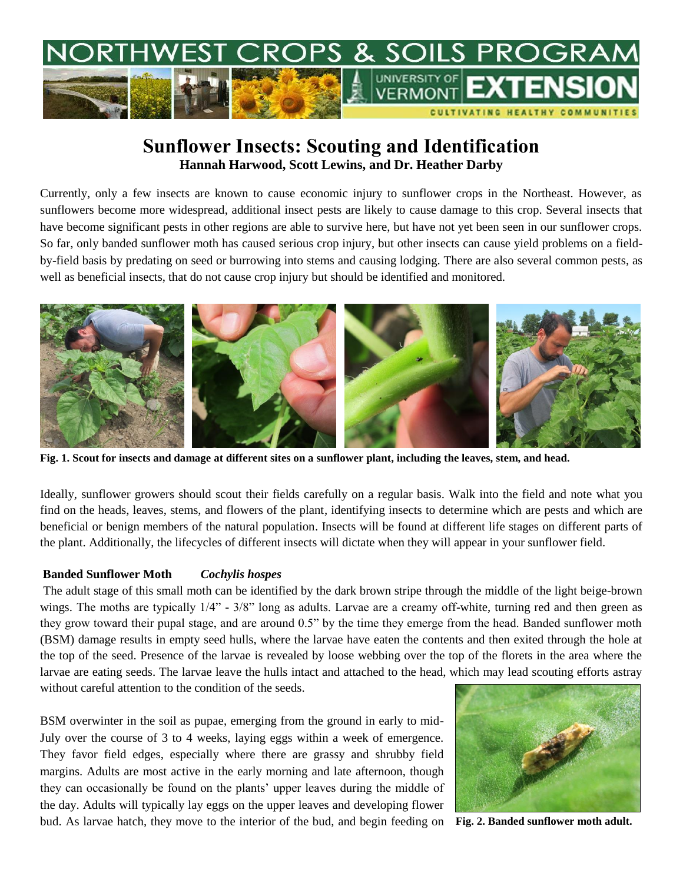

# **Sunflower Insects: Scouting and Identification Hannah Harwood, Scott Lewins, and Dr. Heather Darby**

Currently, only a few insects are known to cause economic injury to sunflower crops in the Northeast. However, as sunflowers become more widespread, additional insect pests are likely to cause damage to this crop. Several insects that have become significant pests in other regions are able to survive here, but have not yet been seen in our sunflower crops. So far, only banded sunflower moth has caused serious crop injury, but other insects can cause yield problems on a fieldby-field basis by predating on seed or burrowing into stems and causing lodging. There are also several common pests, as well as beneficial insects, that do not cause crop injury but should be identified and monitored.



**Fig. 1. Scout for insects and damage at different sites on a sunflower plant, including the leaves, stem, and head.**

Ideally, sunflower growers should scout their fields carefully on a regular basis. Walk into the field and note what you find on the heads, leaves, stems, and flowers of the plant, identifying insects to determine which are pests and which are beneficial or benign members of the natural population. Insects will be found at different life stages on different parts of the plant. Additionally, the lifecycles of different insects will dictate when they will appear in your sunflower field.

#### **Banded Sunflower Moth** *Cochylis hospes*

The adult stage of this small moth can be identified by the dark brown stripe through the middle of the light beige-brown wings. The moths are typically  $1/4$ " -  $3/8$ " long as adults. Larvae are a creamy off-white, turning red and then green as they grow toward their pupal stage, and are around 0.5" by the time they emerge from the head. Banded sunflower moth (BSM) damage results in empty seed hulls, where the larvae have eaten the contents and then exited through the hole at the top of the seed. Presence of the larvae is revealed by loose webbing over the top of the florets in the area where the larvae are eating seeds. The larvae leave the hulls intact and attached to the head, which may lead scouting efforts astray without careful attention to the condition of the seeds.

BSM overwinter in the soil as pupae, emerging from the ground in early to mid-July over the course of 3 to 4 weeks, laying eggs within a week of emergence. They favor field edges, especially where there are grassy and shrubby field margins. Adults are most active in the early morning and late afternoon, though they can occasionally be found on the plants' upper leaves during the middle of the day. Adults will typically lay eggs on the upper leaves and developing flower bud. As larvae hatch, they move to the interior of the bud, and begin feeding on **Fig. 2. Banded sunflower moth adult.**

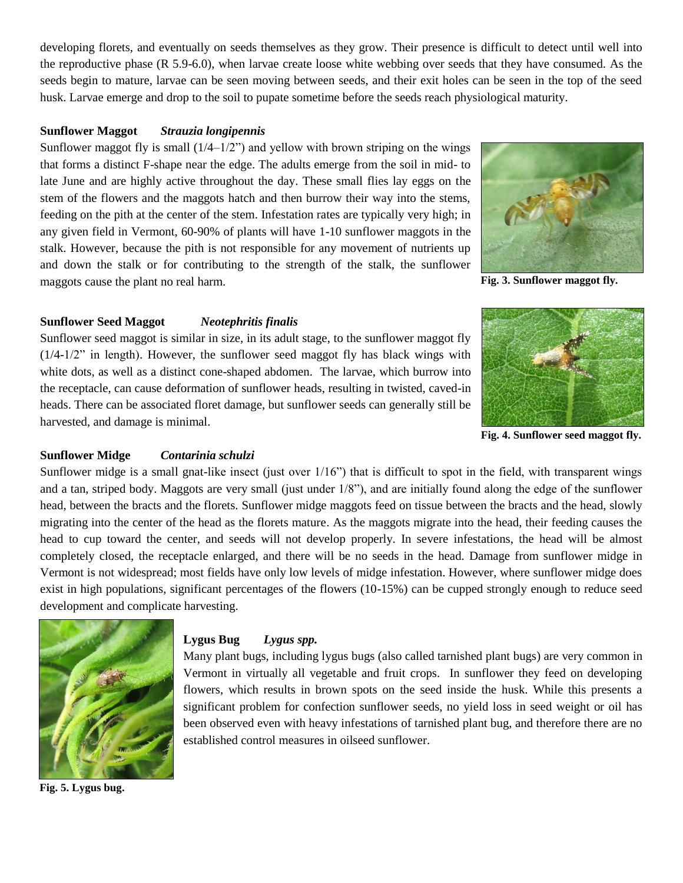developing florets, and eventually on seeds themselves as they grow. Their presence is difficult to detect until well into the reproductive phase (R 5.9-6.0), when larvae create loose white webbing over seeds that they have consumed. As the seeds begin to mature, larvae can be seen moving between seeds, and their exit holes can be seen in the top of the seed husk. Larvae emerge and drop to the soil to pupate sometime before the seeds reach physiological maturity.

## **Sunflower Maggot** *Strauzia longipennis*

Sunflower maggot fly is small  $(1/4-1/2)$  and yellow with brown striping on the wings that forms a distinct F-shape near the edge. The adults emerge from the soil in mid- to late June and are highly active throughout the day. These small flies lay eggs on the stem of the flowers and the maggots hatch and then burrow their way into the stems, feeding on the pith at the center of the stem. Infestation rates are typically very high; in any given field in Vermont, 60-90% of plants will have 1-10 sunflower maggots in the stalk. However, because the pith is not responsible for any movement of nutrients up and down the stalk or for contributing to the strength of the stalk, the sunflower maggots cause the plant no real harm.



**Fig. 3. Sunflower maggot fly.**

## **Sunflower Seed Maggot** *Neotephritis finalis*

Sunflower seed maggot is similar in size, in its adult stage, to the sunflower maggot fly  $(1/4-1/2)$ " in length). However, the sunflower seed maggot fly has black wings with white dots, as well as a distinct cone-shaped abdomen. The larvae, which burrow into the receptacle, can cause deformation of sunflower heads, resulting in twisted, caved-in heads. There can be associated floret damage, but sunflower seeds can generally still be harvested, and damage is minimal.



**Fig. 4. Sunflower seed maggot fly.**

## **Sunflower Midge** *Contarinia schulzi*

Sunflower midge is a small gnat-like insect (just over 1/16") that is difficult to spot in the field, with transparent wings and a tan, striped body. Maggots are very small (just under 1/8"), and are initially found along the edge of the sunflower head, between the bracts and the florets. Sunflower midge maggots feed on tissue between the bracts and the head, slowly migrating into the center of the head as the florets mature. As the maggots migrate into the head, their feeding causes the head to cup toward the center, and seeds will not develop properly. In severe infestations, the head will be almost completely closed, the receptacle enlarged, and there will be no seeds in the head. Damage from sunflower midge in Vermont is not widespread; most fields have only low levels of midge infestation. However, where sunflower midge does exist in high populations, significant percentages of the flowers (10-15%) can be cupped strongly enough to reduce seed development and complicate harvesting.



**Fig. 5. Lygus bug.**

## **Lygus Bug** *Lygus spp.*

Many plant bugs, including lygus bugs (also called tarnished plant bugs) are very common in Vermont in virtually all vegetable and fruit crops. In sunflower they feed on developing flowers, which results in brown spots on the seed inside the husk. While this presents a significant problem for confection sunflower seeds, no yield loss in seed weight or oil has been observed even with heavy infestations of tarnished plant bug, and therefore there are no established control measures in oilseed sunflower.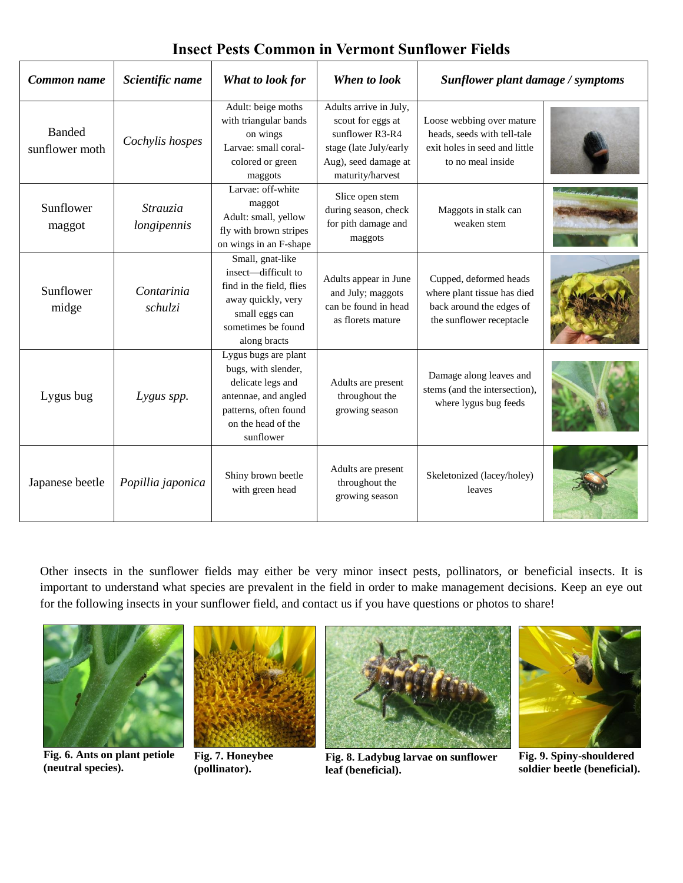| Common name                     | Scientific name         | What to look for                                                                                                                                     | When to look                                                                                                                         | Sunflower plant damage / symptoms                                                                              |  |
|---------------------------------|-------------------------|------------------------------------------------------------------------------------------------------------------------------------------------------|--------------------------------------------------------------------------------------------------------------------------------------|----------------------------------------------------------------------------------------------------------------|--|
| <b>Banded</b><br>sunflower moth | Cochylis hospes         | Adult: beige moths<br>with triangular bands<br>on wings<br>Larvae: small coral-<br>colored or green<br>maggots                                       | Adults arrive in July,<br>scout for eggs at<br>sunflower R3-R4<br>stage (late July/early<br>Aug), seed damage at<br>maturity/harvest | Loose webbing over mature<br>heads, seeds with tell-tale<br>exit holes in seed and little<br>to no meal inside |  |
| Sunflower<br>maggot             | Strauzia<br>longipennis | Larvae: off-white<br>maggot<br>Adult: small, yellow<br>fly with brown stripes<br>on wings in an F-shape                                              | Slice open stem<br>during season, check<br>for pith damage and<br>maggots                                                            | Maggots in stalk can<br>weaken stem                                                                            |  |
| Sunflower<br>midge              | Contarinia<br>schulzi   | Small, gnat-like<br>insect—difficult to<br>find in the field, flies<br>away quickly, very<br>small eggs can<br>sometimes be found<br>along bracts    | Adults appear in June<br>and July; maggots<br>can be found in head<br>as florets mature                                              | Cupped, deformed heads<br>where plant tissue has died<br>back around the edges of<br>the sunflower receptacle  |  |
| Lygus bug                       | Lygus spp.              | Lygus bugs are plant<br>bugs, with slender,<br>delicate legs and<br>antennae, and angled<br>patterns, often found<br>on the head of the<br>sunflower | Adults are present<br>throughout the<br>growing season                                                                               | Damage along leaves and<br>stems (and the intersection),<br>where lygus bug feeds                              |  |
| Japanese beetle                 | Popillia japonica       | Shiny brown beetle<br>with green head                                                                                                                | Adults are present<br>throughout the<br>growing season                                                                               | Skeletonized (lacey/holey)<br>leaves                                                                           |  |

# **Insect Pests Common in Vermont Sunflower Fields**

Other insects in the sunflower fields may either be very minor insect pests, pollinators, or beneficial insects. It is important to understand what species are prevalent in the field in order to make management decisions. Keep an eye out for the following insects in your sunflower field, and contact us if you have questions or photos to share!



**Fig. 6. Ants on plant petiole (neutral species).**



**Fig. 7. Honeybee (pollinator).**



**Fig. 8. Ladybug larvae on sunflower leaf (beneficial).**



**Fig. 9. Spiny-shouldered soldier beetle (beneficial).**